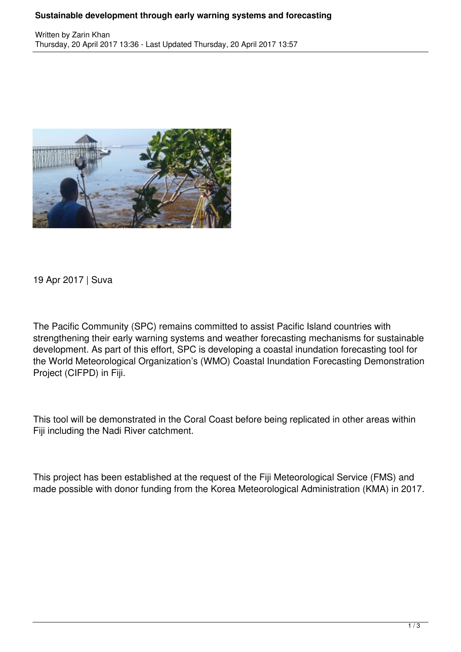## **Sustainable development through early warning systems and forecasting**



19 Apr 2017 | Suva

The Pacific Community (SPC) remains committed to assist Pacific Island countries with strengthening their early warning systems and weather forecasting mechanisms for sustainable development. As part of this effort, SPC is developing a coastal inundation forecasting tool for the World Meteorological Organization's (WMO) Coastal Inundation Forecasting Demonstration Project (CIFPD) in Fiji.

This tool will be demonstrated in the Coral Coast before being replicated in other areas within Fiji including the Nadi River catchment.

This project has been established at the request of the Fiji Meteorological Service (FMS) and made possible with donor funding from the Korea Meteorological Administration (KMA) in 2017.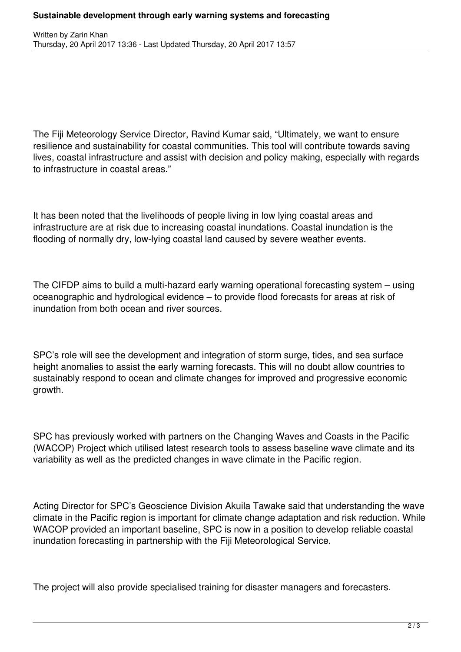The Fiji Meteorology Service Director, Ravind Kumar said, "Ultimately, we want to ensure resilience and sustainability for coastal communities. This tool will contribute towards saving lives, coastal infrastructure and assist with decision and policy making, especially with regards to infrastructure in coastal areas."

It has been noted that the livelihoods of people living in low lying coastal areas and infrastructure are at risk due to increasing coastal inundations. Coastal inundation is the flooding of normally dry, low-lying coastal land caused by severe weather events.

The CIFDP aims to build a multi-hazard early warning operational forecasting system – using oceanographic and hydrological evidence – to provide flood forecasts for areas at risk of inundation from both ocean and river sources.

SPC's role will see the development and integration of storm surge, tides, and sea surface height anomalies to assist the early warning forecasts. This will no doubt allow countries to sustainably respond to ocean and climate changes for improved and progressive economic growth.

SPC has previously worked with partners on the Changing Waves and Coasts in the Pacific (WACOP) Project which utilised latest research tools to assess baseline wave climate and its variability as well as the predicted changes in wave climate in the Pacific region.

Acting Director for SPC's Geoscience Division Akuila Tawake said that understanding the wave climate in the Pacific region is important for climate change adaptation and risk reduction. While WACOP provided an important baseline, SPC is now in a position to develop reliable coastal inundation forecasting in partnership with the Fiji Meteorological Service.

The project will also provide specialised training for disaster managers and forecasters.